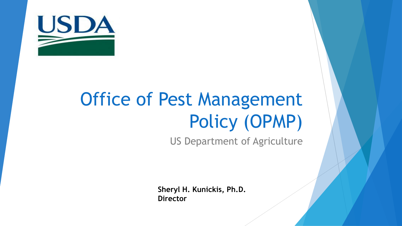

# Office of Pest Management Policy (OPMP)

US Department of Agriculture

**Sheryl H. Kunickis, Ph.D. Director**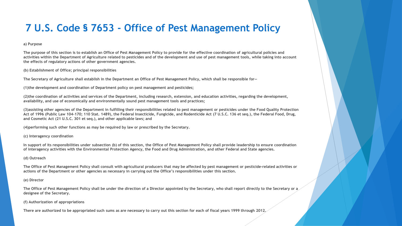### **7 U.S. Code § 7653 - Office of Pest Management Policy**

### **a) Purpose**

**The purpose of this section is to establish an Office of Pest Management Policy to provide for the effective coordination of agricultural policies and activities within the Department of Agriculture related to pesticides and of the development and use of pest management tools, while taking into account the effects of regulatory actions of other government agencies.** 

**(b) Establishment of Office; principal responsibilities** 

**The Secretary of Agriculture shall establish in the Department an Office of Pest Management Policy, which shall be responsible for—**

**(1)the development and coordination of Department policy on pest management and pesticides;** 

**(2)the coordination of activities and services of the Department, including research, extension, and education activities, regarding the development, availability, and use of economically and environmentally sound pest management tools and practices;** 

**(3)assisting other agencies of the Department in fulfilling their responsibilities related to pest management or pesticides under the Food Quality Protection Act of 1996 (Public Law 104–170; 110 Stat. 1489), the Federal Insecticide, Fungicide, and Rodenticide Act (7 U.S.C. 136 et seq.), the Federal Food, Drug, and Cosmetic Act (21 U.S.C. 301 et seq.), and other applicable laws; and** 

**(4)performing such other functions as may be required by law or prescribed by the Secretary.** 

### **(c) Interagency coordination**

**In support of its responsibilities under subsection (b) of this section, the Office of Pest Management Policy shall provide leadership to ensure coordination of interagency activities with the Environmental Protection Agency, the Food and Drug Administration, and other Federal and State agencies.** 

### **(d) Outreach**

**The Office of Pest Management Policy shall consult with agricultural producers that may be affected by pest management or pesticide-related activities or actions of the Department or other agencies as necessary in carrying out the Office's responsibilities under this section.** 

### **(e) Director**

**The Office of Pest Management Policy shall be under the direction of a Director appointed by the Secretary, who shall report directly to the Secretary or a designee of the Secretary.** 

### **(f) Authorization of appropriations**

**There are authorized to be appropriated such sums as are necessary to carry out this section for each of fiscal years 1999 through 2012.**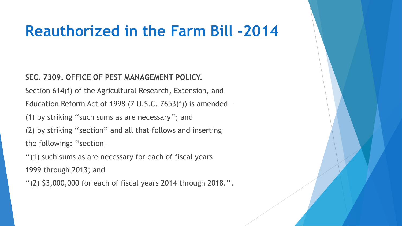## **Reauthorized in the Farm Bill -2014**

### **SEC. 7309. OFFICE OF PEST MANAGEMENT POLICY.**

Section 614(f) of the Agricultural Research, Extension, and

Education Reform Act of 1998 (7 U.S.C. 7653(f)) is amended—

(1) by striking ''such sums as are necessary''; and

(2) by striking ''section'' and all that follows and inserting

the following: ''section—

''(1) such sums as are necessary for each of fiscal years

1999 through 2013; and

''(2) \$3,000,000 for each of fiscal years 2014 through 2018.''.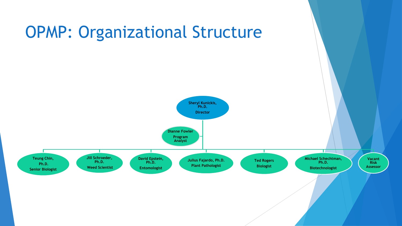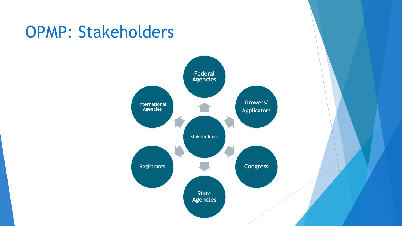## OPMP: Stakeholders

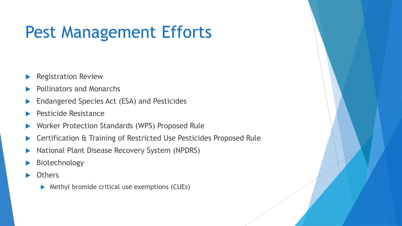## Pest Management Efforts

- Registration Review
- Pollinators and Monarchs
- **Endangered Species Act (ESA) and Pesticides**
- Pesticide Resistance
- Worker Protection Standards (WPS) Proposed Rule
- Certification & Training of Restricted Use Pesticides Proposed Rule
- ▶ National Plant Disease Recovery System (NPDRS)
- Biotechnology
- **Others** 
	- **Methyl bromide critical use exemptions (CUEs)**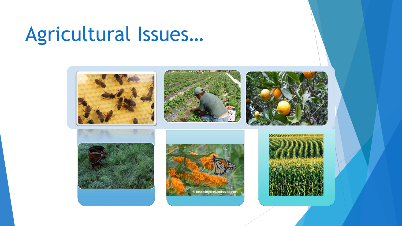# Agricultural Issues…

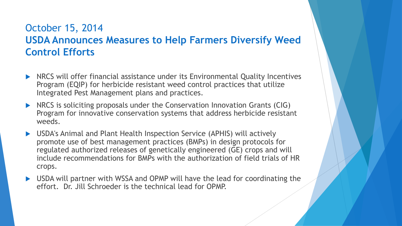### October 15, 2014 **USDA Announces Measures to Help Farmers Diversify Weed Control Efforts**

- ▶ NRCS will offer financial assistance under its Environmental Quality Incentives Program (EQIP) for herbicide resistant weed control practices that utilize Integrated Pest Management plans and practices.
- **NRCS** is soliciting proposals under the Conservation Innovation Grants (CIG) Program for innovative conservation systems that address herbicide resistant weeds.
- USDA's Animal and Plant Health Inspection Service (APHIS) will actively promote use of best management practices (BMPs) in design protocols for regulated authorized releases of genetically engineered (GE) crops and will include recommendations for BMPs with the authorization of field trials of HR crops.
- ▶ USDA will partner with WSSA and OPMP will have the lead for coordinating the effort. Dr. Jill Schroeder is the technical lead for OPMP.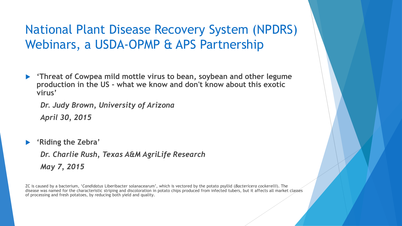## National Plant Disease Recovery System (NPDRS) Webinars, a USDA-OPMP & APS Partnership

 **'Threat of Cowpea mild mottle virus to bean, soybean and other legume production in the US - what we know and don't know about this exotic virus'**

*Dr. Judy Brown, University of Arizona April 30, 2015* 

 **'Riding the Zebra'** *Dr. Charlie Rush, Texas A&M AgriLife Research May 7, 2015*

ZC is caused by a bacterium, '*Candidatus* Liberibacter solanacearum', which is vectored by the potato psyllid (*Bactericera cockerelli*). The disease was named for the characteristic striping and discoloration in potato chips produced from infected tubers, but it affects all market classes of processing and fresh potatoes, by reducing both yield and quality.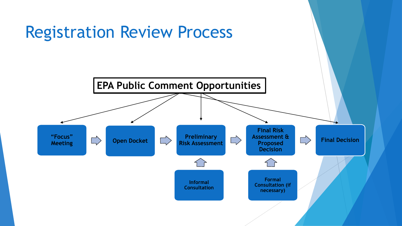